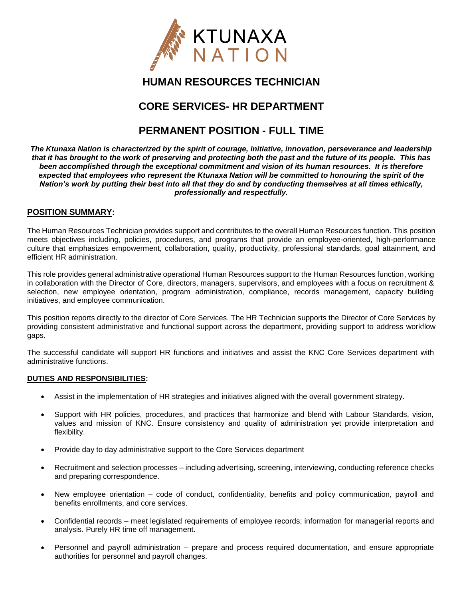

# **HUMAN RESOURCES TECHNICIAN**

## **CORE SERVICES- HR DEPARTMENT**

## **PERMANENT POSITION - FULL TIME**

*The Ktunaxa Nation is characterized by the spirit of courage, initiative, innovation, perseverance and leadership that it has brought to the work of preserving and protecting both the past and the future of its people. This has been accomplished through the exceptional commitment and vision of its human resources. It is therefore expected that employees who represent the Ktunaxa Nation will be committed to honouring the spirit of the Nation's work by putting their best into all that they do and by conducting themselves at all times ethically, professionally and respectfully.*

### **POSITION SUMMARY:**

The Human Resources Technician provides support and contributes to the overall Human Resources function. This position meets objectives including, policies, procedures, and programs that provide an employee-oriented, high-performance culture that emphasizes empowerment, collaboration, quality, productivity, professional standards, goal attainment, and efficient HR administration.

This role provides general administrative operational Human Resources support to the Human Resources function, working in collaboration with the Director of Core, directors, managers, supervisors, and employees with a focus on recruitment & selection, new employee orientation, program administration, compliance, records management, capacity building initiatives, and employee communication.

This position reports directly to the director of Core Services. The HR Technician supports the Director of Core Services by providing consistent administrative and functional support across the department, providing support to address workflow gaps.

The successful candidate will support HR functions and initiatives and assist the KNC Core Services department with administrative functions.

#### **DUTIES AND RESPONSIBILITIES:**

- Assist in the implementation of HR strategies and initiatives aligned with the overall government strategy.
- Support with HR policies, procedures, and practices that harmonize and blend with Labour Standards, vision, values and mission of KNC. Ensure consistency and quality of administration yet provide interpretation and flexibility.
- Provide day to day administrative support to the Core Services department
- Recruitment and selection processes including advertising, screening, interviewing, conducting reference checks and preparing correspondence.
- New employee orientation code of conduct, confidentiality, benefits and policy communication, payroll and benefits enrollments, and core services.
- Confidential records meet legislated requirements of employee records; information for managerial reports and analysis. Purely HR time off management.
- Personnel and payroll administration prepare and process required documentation, and ensure appropriate authorities for personnel and payroll changes.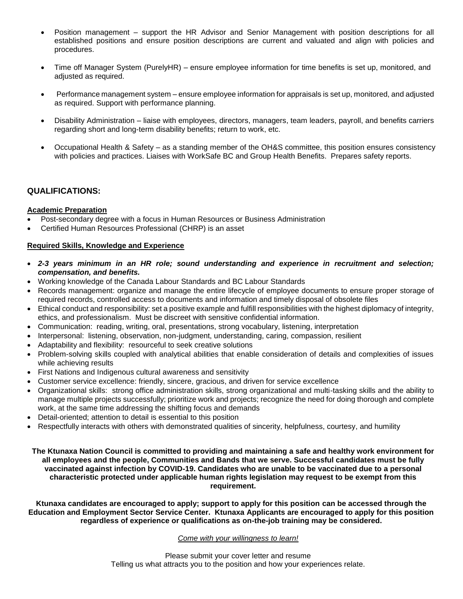- Position management support the HR Advisor and Senior Management with position descriptions for all established positions and ensure position descriptions are current and valuated and align with policies and procedures.
- Time off Manager System (PurelyHR) ensure employee information for time benefits is set up, monitored, and adiusted as required.
- Performance management system ensure employee information for appraisals is set up, monitored, and adjusted as required. Support with performance planning.
- Disability Administration liaise with employees, directors, managers, team leaders, payroll, and benefits carriers regarding short and long-term disability benefits; return to work, etc.
- Occupational Health & Safety as a standing member of the OH&S committee, this position ensures consistency with policies and practices. Liaises with WorkSafe BC and Group Health Benefits. Prepares safety reports.

### **QUALIFICATIONS:**

#### **Academic Preparation**

- Post-secondary degree with a focus in Human Resources or Business Administration
- Certified Human Resources Professional (CHRP) is an asset

#### **Required Skills, Knowledge and Experience**

- *2-3 years minimum in an HR role; sound understanding and experience in recruitment and selection; compensation, and benefits.*
- Working knowledge of the Canada Labour Standards and BC Labour Standards
- Records management: organize and manage the entire lifecycle of employee documents to ensure proper storage of required records, controlled access to documents and information and timely disposal of obsolete files
- Ethical conduct and responsibility: set a positive example and fulfill responsibilities with the highest diplomacy of integrity, ethics, and professionalism. Must be discreet with sensitive confidential information.
- Communication: reading, writing, oral, presentations, strong vocabulary, listening, interpretation
- Interpersonal: listening, observation, non-judgment, understanding, caring, compassion, resilient
- Adaptability and flexibility: resourceful to seek creative solutions
- Problem-solving skills coupled with analytical abilities that enable consideration of details and complexities of issues while achieving results
- First Nations and Indigenous cultural awareness and sensitivity
- Customer service excellence: friendly, sincere, gracious, and driven for service excellence
- Organizational skills: strong office administration skills, strong organizational and multi-tasking skills and the ability to manage multiple projects successfully; prioritize work and projects; recognize the need for doing thorough and complete work, at the same time addressing the shifting focus and demands
- Detail-oriented; attention to detail is essential to this position
- Respectfully interacts with others with demonstrated qualities of sincerity, helpfulness, courtesy, and humility

**The Ktunaxa Nation Council is committed to providing and maintaining a safe and healthy work environment for all employees and the people, Communities and Bands that we serve. Successful candidates must be fully vaccinated against infection by COVID-19. Candidates who are unable to be vaccinated due to a personal characteristic protected under applicable human rights legislation may request to be exempt from this requirement.**

**Ktunaxa candidates are encouraged to apply; support to apply for this position can be accessed through the Education and Employment Sector Service Center. Ktunaxa Applicants are encouraged to apply for this position regardless of experience or qualifications as on-the-job training may be considered.**

#### *Come with your willingness to learn!*

Please submit your cover letter and resume Telling us what attracts you to the position and how your experiences relate.